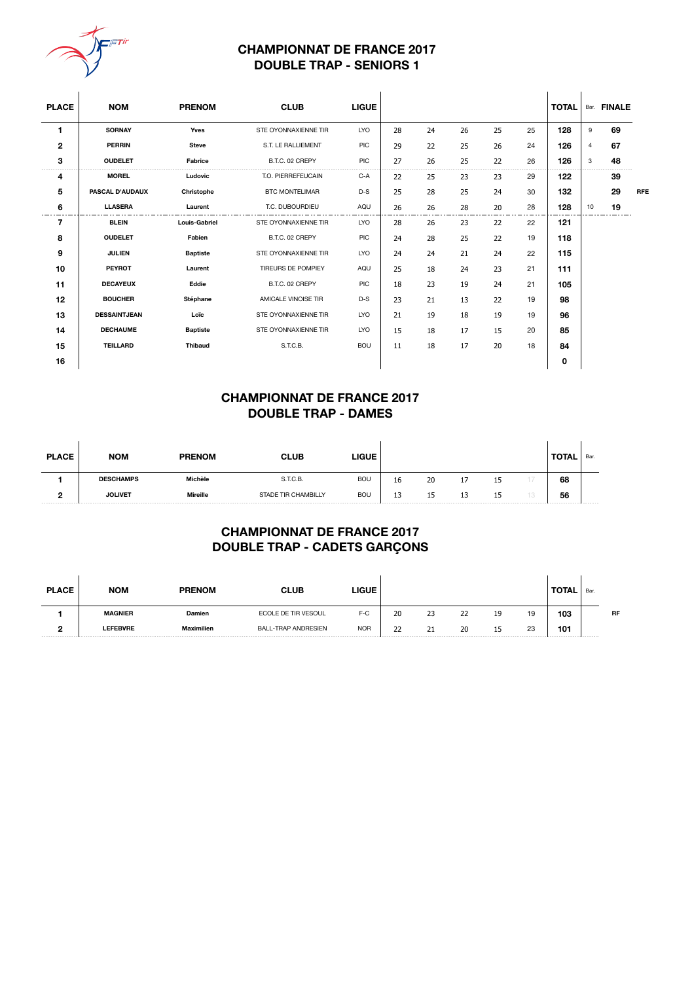

### **CHAMPIONNAT DE FRANCE 2017 DOUBLE TRAP - SENIORS 1**

| <b>PLACE</b>   | <b>NOM</b>             | <b>PRENOM</b>        | <b>CLUB</b>           | <b>LIGUE</b> |    |    |    |    |    | <b>TOTAL</b> |                | Bar. FINALE |            |
|----------------|------------------------|----------------------|-----------------------|--------------|----|----|----|----|----|--------------|----------------|-------------|------------|
| 1              | <b>SORNAY</b>          | Yves                 | STE OYONNAXIENNE TIR  | <b>LYO</b>   | 28 | 24 | 26 | 25 | 25 | 128          | 9              | 69          |            |
| $\mathbf{2}$   | <b>PERRIN</b>          | <b>Steve</b>         | S.T. LE RALLIEMENT    | <b>PIC</b>   | 29 | 22 | 25 | 26 | 24 | 126          | $\overline{4}$ | 67          |            |
| 3              | <b>OUDELET</b>         | Fabrice              | B.T.C. 02 CREPY       | <b>PIC</b>   | 27 | 26 | 25 | 22 | 26 | 126          | 3              | 48          |            |
| 4              | <b>MOREL</b>           | Ludovic              | T.O. PIERREFEUCAIN    | $C-A$        | 22 | 25 | 23 | 23 | 29 | 122          |                | 39          |            |
| 5              | <b>PASCAL D'AUDAUX</b> | Christophe           | <b>BTC MONTELIMAR</b> | $D-S$        | 25 | 28 | 25 | 24 | 30 | 132          |                | 29          | <b>RFE</b> |
| 6              | <b>LLASERA</b>         | Laurent              | T.C. DUBOURDIEU       | AQU          | 26 | 26 | 28 | 20 | 28 | 128          | 10             | 19          |            |
| $\overline{7}$ | <b>BLEIN</b>           | <b>Louis-Gabriel</b> | STE OYONNAXIENNE TIR  | <b>LYO</b>   | 28 | 26 | 23 | 22 | 22 | 121          |                |             |            |
| 8              | <b>OUDELET</b>         | Fabien               | B.T.C. 02 CREPY       | PIC          | 24 | 28 | 25 | 22 | 19 | 118          |                |             |            |
| 9              | <b>JULIEN</b>          | <b>Baptiste</b>      | STE OYONNAXIENNE TIR  | <b>LYO</b>   | 24 | 24 | 21 | 24 | 22 | 115          |                |             |            |
| 10             | <b>PEYROT</b>          | Laurent              | TIREURS DE POMPIEY    | AQU          | 25 | 18 | 24 | 23 | 21 | 111          |                |             |            |
| 11             | <b>DECAYEUX</b>        | Eddie                | B.T.C. 02 CREPY       | PIC          | 18 | 23 | 19 | 24 | 21 | 105          |                |             |            |
| 12             | <b>BOUCHER</b>         | Stéphane             | AMICALE VINOISE TIR   | $D-S$        | 23 | 21 | 13 | 22 | 19 | 98           |                |             |            |
| 13             | <b>DESSAINTJEAN</b>    | Loïc                 | STE OYONNAXIENNE TIR  | <b>LYO</b>   | 21 | 19 | 18 | 19 | 19 | 96           |                |             |            |
| 14             | <b>DECHAUME</b>        | <b>Baptiste</b>      | STE OYONNAXIENNE TIR  | <b>LYO</b>   | 15 | 18 | 17 | 15 | 20 | 85           |                |             |            |
| 15             | <b>TEILLARD</b>        | <b>Thibaud</b>       | S.T.C.B.              | <b>BOU</b>   | 11 | 18 | 17 | 20 | 18 | 84           |                |             |            |
| 16             |                        |                      |                       |              |    |    |    |    |    | 0            |                |             |            |

# **CHAMPIONNAT DE FRANCE 2017 DOUBLE TRAP - DAMES**

| <b>PLACE</b> | <b>NOM</b>       | <b>PRENOM</b> | <b>CLUB</b>         | <b>LIGUE</b> |         |    |    |    | <b>TOTAL</b> | Bar. |
|--------------|------------------|---------------|---------------------|--------------|---------|----|----|----|--------------|------|
|              | <b>DESCHAMPS</b> | Michèle       | S.T.C.B.            | <b>BOU</b>   | 16      | 20 | д, | ⊥J | 68           |      |
| ∍<br>-       | <b>JOLIVET</b>   | Mireille      | STADE TIR CHAMBILLY | <b>BOU</b>   | 12<br>ᅩ | 15 | ∸  | 15 | 56           |      |

# **CHAMPIONNAT DE FRANCE 2017 DOUBLE TRAP - CADETS GARÇONS**

| <b>PLACE</b> | <b>NOM</b>      | <b>PRENOM</b>     | <b>CLUB</b>                | LIGUE      |    |    |    |    |    | <b>TOTAL</b> | Bar. |           |
|--------------|-----------------|-------------------|----------------------------|------------|----|----|----|----|----|--------------|------|-----------|
|              | <b>MAGNIER</b>  | Damien            | ECOLE DE TIR VESOUL        | F-C        | 20 | 23 | 22 | 19 | 19 | 103          |      | <b>RF</b> |
| -            | <b>LEFEBVRE</b> | <b>Maximilien</b> | <b>BALL-TRAP ANDRESIEN</b> | <b>NOR</b> | 22 | 21 | 20 | ∸  | 23 | 101          |      |           |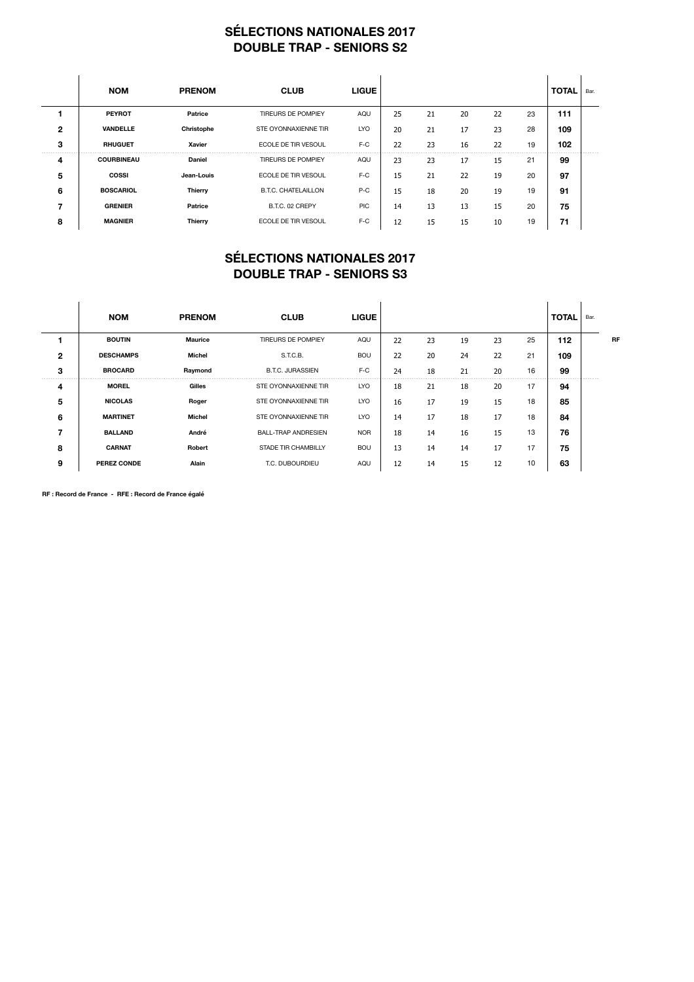## **SÉLECTIONS NATIONALES 2017 DOUBLE TRAP - SENIORS S2**

|                | <b>NOM</b>        | <b>PRENOM</b> | <b>CLUB</b>                | <b>LIGUE</b> |    |    |    |    |    | <b>TOTAL</b> | Bar. |
|----------------|-------------------|---------------|----------------------------|--------------|----|----|----|----|----|--------------|------|
|                | <b>PEYROT</b>     | Patrice       | TIREURS DE POMPIEY         | AQU          | 25 | 21 | 20 | 22 | 23 | 111          |      |
| $\overline{2}$ | <b>VANDELLE</b>   | Christophe    | STE OYONNAXIENNE TIR       | <b>LYO</b>   | 20 | 21 | 17 | 23 | 28 | 109          |      |
| 3              | <b>RHUGUET</b>    | <b>Xavier</b> | ECOLE DE TIR VESOUL        | $F-C$        | 22 | 23 | 16 | 22 | 19 | 102          |      |
| 4              | <b>COURBINEAU</b> | Daniel        | TIREURS DE POMPIEY         | AQU          | 23 | 23 | 17 | 15 | 21 | 99           |      |
| 5              | <b>COSSI</b>      | Jean-Louis    | ECOLE DE TIR VESOUL        | $F-C$        | 15 | 21 | 22 | 19 | 20 | 97           |      |
| 6              | <b>BOSCARIOL</b>  | Thierry       | <b>B.T.C. CHATELAILLON</b> | $P-C$        | 15 | 18 | 20 | 19 | 19 | 91           |      |
|                | <b>GRENIER</b>    | Patrice       | B.T.C. 02 CREPY            | <b>PIC</b>   | 14 | 13 | 13 | 15 | 20 | 75           |      |
| 8              | <b>MAGNIER</b>    | Thierry       | ECOLE DE TIR VESOUL        | $F-C$        | 12 | 15 | 15 | 10 | 19 | 71           |      |

### **SÉLECTIONS NATIONALES 2017 DOUBLE TRAP - SENIORS S3**

|   | <b>NOM</b>         | <b>PRENOM</b>  | <b>CLUB</b>                | <b>LIGUE</b> |    |    |    |    |    | <b>TOTAL</b> | Bar. |           |
|---|--------------------|----------------|----------------------------|--------------|----|----|----|----|----|--------------|------|-----------|
|   | <b>BOUTIN</b>      | <b>Maurice</b> | <b>TIREURS DE POMPIEY</b>  | AQU          | 22 | 23 | 19 | 23 | 25 | 112          |      | <b>RF</b> |
| 2 | <b>DESCHAMPS</b>   | Michel         | S.T.C.B.                   | <b>BOU</b>   | 22 | 20 | 24 | 22 | 21 | 109          |      |           |
| 3 | <b>BROCARD</b>     | Raymond        | <b>B.T.C. JURASSIEN</b>    | $F-C$        | 24 | 18 | 21 | 20 | 16 | 99           |      |           |
| 4 | <b>MOREL</b>       | Gilles         | STE OYONNAXIENNE TIR       | <b>LYO</b>   | 18 | 21 | 18 | 20 | 17 | 94           |      |           |
| 5 | <b>NICOLAS</b>     | Roger          | STE OYONNAXIENNE TIR       | LYO          | 16 | 17 | 19 | 15 | 18 | 85           |      |           |
| 6 | <b>MARTINET</b>    | Michel         | STE OYONNAXIENNE TIR       | LYO          | 14 | 17 | 18 | 17 | 18 | 84           |      |           |
| 7 | <b>BALLAND</b>     | André          | <b>BALL-TRAP ANDRESIEN</b> | <b>NOR</b>   | 18 | 14 | 16 | 15 | 13 | 76           |      |           |
| 8 | <b>CARNAT</b>      | <b>Robert</b>  | STADE TIR CHAMBILLY        | <b>BOU</b>   | 13 | 14 | 14 | 17 | 17 | 75           |      |           |
| 9 | <b>PEREZ CONDE</b> | Alain          | T.C. DUBOURDIEU            | AQU          | 12 | 14 | 15 | 12 | 10 | 63           |      |           |

**RF : Record de France - RFE : Record de France égalé**